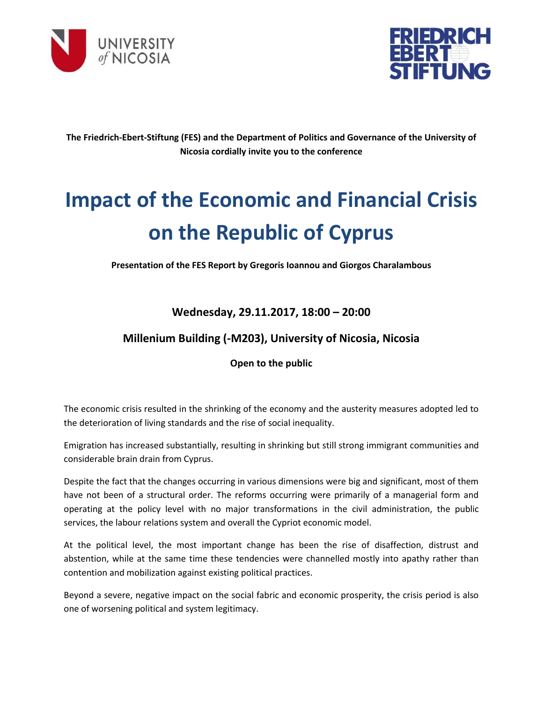



**The Friedrich-Ebert-Stiftung (FES) and the Department of Politics and Governance of the University of Nicosia cordially invite you to the conference**

# **Impact of the Economic and Financial Crisis on the Republic of Cyprus**

**Presentation of the FES Report by Gregoris Ioannou and Giorgos Charalambous**

## **Wednesday, 29.11.2017, 18:00 – 20:00**

## **Millenium Building (-M203), University of Nicosia, Nicosia**

### **Open to the public**

The economic crisis resulted in the shrinking of the economy and the austerity measures adopted led to the deterioration of living standards and the rise of social inequality.

Emigration has increased substantially, resulting in shrinking but still strong immigrant communities and considerable brain drain from Cyprus.

Despite the fact that the changes occurring in various dimensions were big and significant, most of them have not been of a structural order. The reforms occurring were primarily of a managerial form and operating at the policy level with no major transformations in the civil administration, the public services, the labour relations system and overall the Cypriot economic model.

At the political level, the most important change has been the rise of disaffection, distrust and abstention, while at the same time these tendencies were channelled mostly into apathy rather than contention and mobilization against existing political practices.

Beyond a severe, negative impact on the social fabric and economic prosperity, the crisis period is also one of worsening political and system legitimacy.